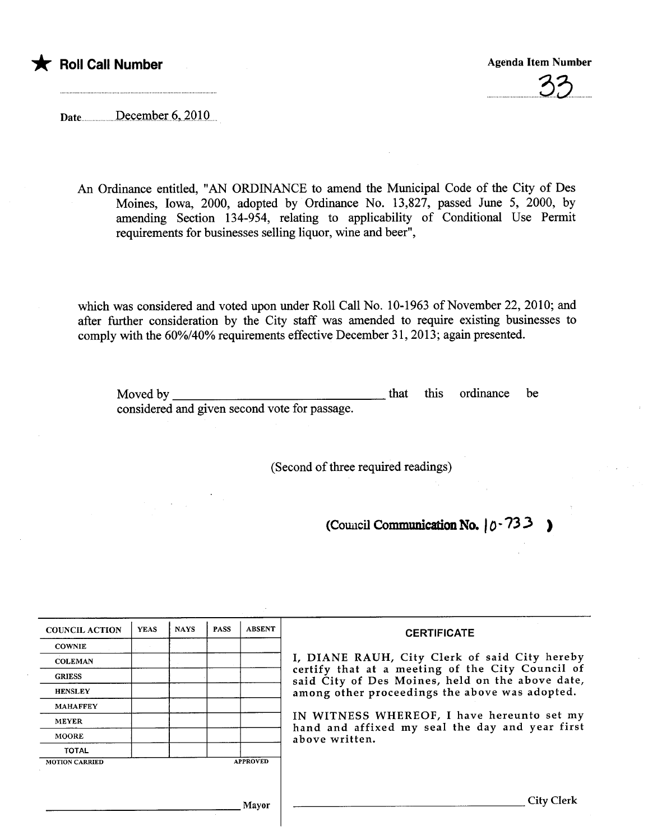

..............................3..3..........

Date ................December 6, 2010

An Ordinance entitled, "AN ORDINANCE to amend the Muncipal Code of the City of Des Moines, Iowa, 2000, adopted by Ordinance No. 13,827, passed June 5, 2000, by amending Section 134-954, relating to applicability of Conditional Use Permit requirements for businesses selling liquor, wine and beer",

which was considered and voted upon under Roll Call No. 10-1963 of November 22,2010; and after further consideration by the City staff was amended to require existing businesses to comply with the 60%/40% requirements effective December 31, 2013; again presented.

Moved by considered and given second vote for passage. that this ordinance be

(Second of three required readings)

(Council Communication No.  $0.733$ )

| <b>COUNCIL ACTION</b> | <b>YEAS</b> | <b>NAYS</b> | <b>PASS</b> | <b>ABSENT</b>   | <b>CERTIFICATE</b>                                                                                                                                                                                                                                                                                                         |
|-----------------------|-------------|-------------|-------------|-----------------|----------------------------------------------------------------------------------------------------------------------------------------------------------------------------------------------------------------------------------------------------------------------------------------------------------------------------|
| <b>COWNIE</b>         |             |             |             |                 | I, DIANE RAUH, City Clerk of said City hereby<br>certify that at a meeting of the City Council of<br>said City of Des Moines, held on the above date,<br>among other proceedings the above was adopted.<br>IN WITNESS WHEREOF, I have hereunto set my<br>hand and affixed my seal the day and year first<br>above written. |
| <b>COLEMAN</b>        |             |             |             |                 |                                                                                                                                                                                                                                                                                                                            |
| <b>GRIESS</b>         |             |             |             |                 |                                                                                                                                                                                                                                                                                                                            |
| <b>HENSLEY</b>        |             |             |             |                 |                                                                                                                                                                                                                                                                                                                            |
| <b>MAHAFFEY</b>       |             |             |             |                 |                                                                                                                                                                                                                                                                                                                            |
| <b>MEYER</b>          |             |             |             |                 |                                                                                                                                                                                                                                                                                                                            |
| <b>MOORE</b>          |             |             |             |                 |                                                                                                                                                                                                                                                                                                                            |
| <b>TOTAL</b>          |             |             |             |                 |                                                                                                                                                                                                                                                                                                                            |
| <b>MOTION CARRIED</b> |             |             |             | <b>APPROVED</b> |                                                                                                                                                                                                                                                                                                                            |
|                       |             |             |             |                 |                                                                                                                                                                                                                                                                                                                            |
|                       |             |             |             | Mavor           | City Clerk                                                                                                                                                                                                                                                                                                                 |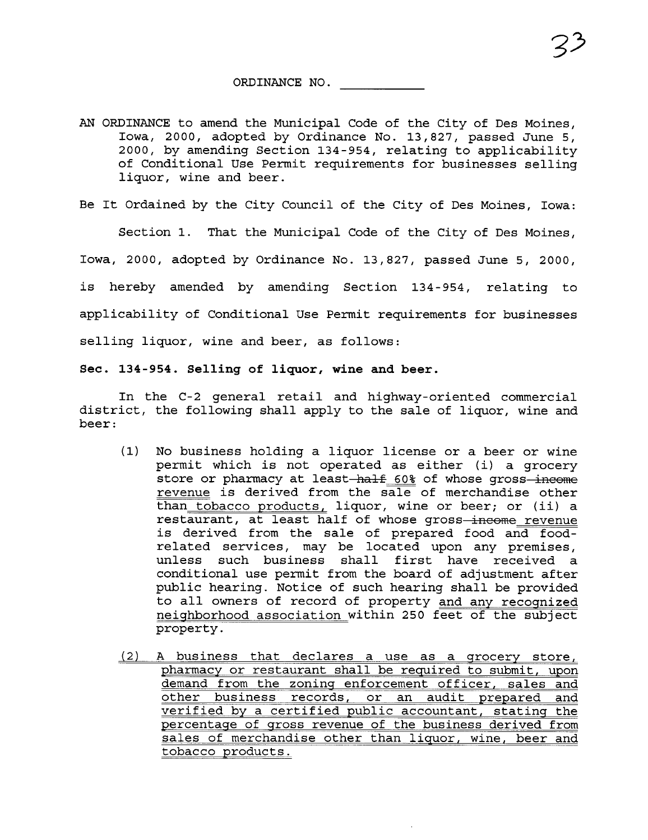AN ORDINANCE to amend the Municipal Code of the City of Des Moines, Iowa, 2000, adopted by Ordinance No. 13,827, passed June 5, 2000, by amending Section 134-954, relating to applicability of Conditional Use Permit requirements for businesses selling liquor, wine and beer.

Be It Ordained by the City Council of the City of Des Moines, Iowa:

Section 1. That the Municipal Code of the City of Des Moines, Iowa, 2000, adopted by Ordinance No. 13,827, passed June 5, 2000, is hereby amended by amending Section 134-954, relating to applicability of Conditional Use Permit requirements for businesses selling liquor, wine and beer, as follows:

Sec. 134-954. Selling of liquor, wine and beer.

In the C-2 general retail and highway-oriented commercial district, the following shall apply to the sale of liquor, wine and beer:

- (1) No business holding a liquor license or a beer or wine permit which is not operated as either (i) a grocery store or pharmacy at least-half 60% of whose gross-income revenue is derived from the sale of merchandise other than tobacco products, liquor, wine or beer; or (ii) a restaurant, at least half of whose gross-income revenue is derived from the sale of prepared food and foodrelated services, may be located upon any premises, unless such business shall first have received a conditional use permit from the board of adjustment after public hearing. Notice of such hearing shall be provided to all owners of record of property and any recognized neighborhood association within 250 feet of the subject property.
- (2) A business that declares a use as a grocery store, pharmacy or restaurant shall be required to submit, upon demand from the zoning enforcement officer, sales and other business records, or an audit prepared and verified by a certified public accountant, stating the percentage of gross revenue of the business derived from sales of merchandise other than liquor, wine, beer and tobacco products.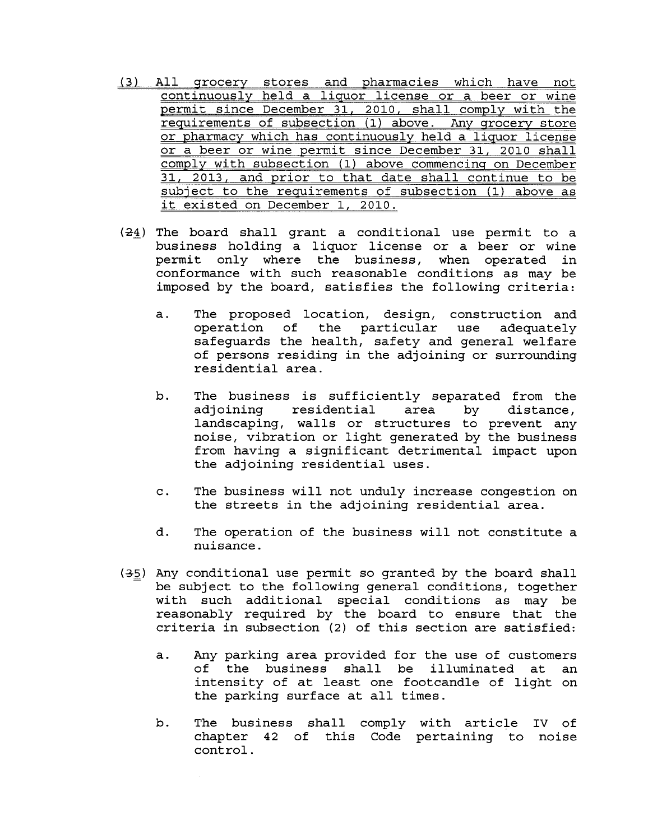- (3) All grocery stores and pharmacies which have not continuously held a liquor license or a beer or wine permit since December 31, 2010, shall comply with the requirements of subsection (1) above. Any grocery store or pharmacy which has continuously held a liquor license or a beer or wine permit since December 31, 2010 shall comply with subsection (1) above commencing on December 31, 2013, and prior to that date shall continue to be subject to the requirements of subsection (1) above as it existed on December 1, 2010.
- $(24)$  The board shall grant a conditional use permit to a business holding a liquor license or a beer or wine permit only where the business, when operated in conformance with such reasonable conditions as may be imposed by the board, satisfies the following criteria:
	- a. The proposed location, design, construction and operation of the particular use adequately safeguards the health, safety and general welfare of persons residing in the adjoining or surrounding residential area.
	- b. The business is sufficiently separated from the adjoining residential area by distance, landscaping, walls or structures to prevent any noise, vibration or light generated by the business from having a significant detrimental impact upon the adjoining residential uses.
	- c. The business will not unduly increase congestion on the streets in the adjoining residential area.
	- d. The operation of the business will not constitute a nuisance.
- $(35)$  Any conditional use permit so granted by the board shall be subject to the following general conditions, together with such additional special conditions as may be reasonably required by the board to ensure that the criteria in subsection (2) of this section are satisfied:
	- a. Any parking area provided for the use of customers of the business shall be illuminated at an<br>intensity of at least one footcandle of light on the parking surface at all times.
	- b. The business shall comply with article iv of chapter 42 of this Code pertaining to noisecontrol.